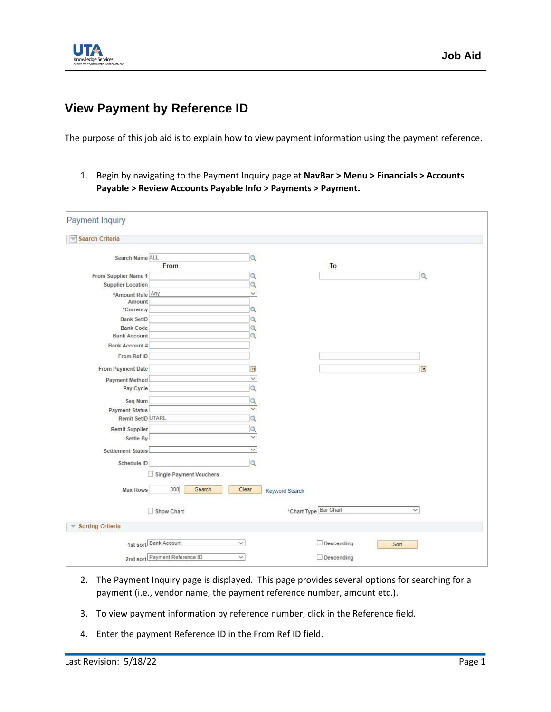

## **View Payment by Reference ID**

The purpose of this job aid is to explain how to view payment information using the payment reference.

1. Begin by navigating to the Payment Inquiry page at **NavBar > Menu > Financials > Accounts Payable > Review Accounts Payable Info > Payments > Payment.**

| Payment Inquiry                                          |                                                                                        |                             |                |                                        |              |
|----------------------------------------------------------|----------------------------------------------------------------------------------------|-----------------------------|----------------|----------------------------------------|--------------|
| Search Criteria                                          |                                                                                        |                             |                |                                        |              |
| Search Name ALL                                          | From                                                                                   | Q                           |                | To                                     |              |
| From Supplier Name 1<br><b>Supplier Location</b>         |                                                                                        | Q<br>$\alpha$               |                |                                        | Q            |
| *Amount Rule Any<br>Amount                               |                                                                                        | $\check{~}$                 |                |                                        |              |
| *Currency<br><b>Bank SetID</b>                           |                                                                                        | $\alpha$<br>Q               |                |                                        |              |
| <b>Bank Code</b><br><b>Bank Account</b><br>Bank Account# |                                                                                        | $\alpha$<br>$\alpha$        |                |                                        |              |
| From Ref ID                                              |                                                                                        |                             |                |                                        |              |
| From Payment Date<br>Payment Method<br>Pay Cycle         |                                                                                        | 31,<br>$\checkmark$<br>a    |                |                                        | 31           |
| Seq Num<br><b>Payment Status</b>                         |                                                                                        | Q<br>$\checkmark$           |                |                                        |              |
| Remit SetID UTARL<br>Remit Supplier                      |                                                                                        | $\alpha$<br>$\alpha$        |                |                                        |              |
| Settle By<br>Settlement Status                           |                                                                                        | $\check{~}$<br>$\checkmark$ |                |                                        |              |
| Schedule ID                                              |                                                                                        | Q                           |                |                                        |              |
| Max Rows                                                 | Single Payment Vouchers<br>300<br>Clear<br>Search                                      |                             | Keyword Search |                                        |              |
|                                                          | Show Chart                                                                             |                             |                | *Chart Type Bar Chart                  | $\checkmark$ |
| <b>Sorting Criteria</b><br>$\mathcal{P}$                 |                                                                                        |                             |                |                                        |              |
|                                                          | 1st sort Bank Account<br>$\checkmark$<br>2nd sort Payment Reference ID<br>$\checkmark$ |                             |                | $\Box$ Descending<br>$\Box$ Descending | Sort         |

- 2. The Payment Inquiry page is displayed. This page provides several options for searching for a payment (i.e., vendor name, the payment reference number, amount etc.).
- 3. To view payment information by reference number, click in the Reference field.
- 4. Enter the payment Reference ID in the From Ref ID field.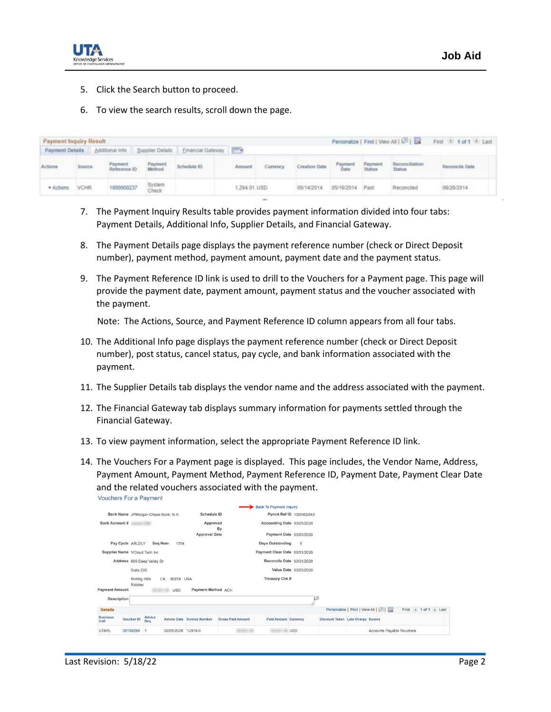

- 5. Click the Search button to proceed.
- 6. To view the search results, scroll down the page.

| <b>Payment Inquiry Result</b><br>Payment Details   Additional Info   Supplier Details   Einancial Gateway   FTT+ |         |                         |                   |             |               | Personalize   Find   View All   429   128<br>First 1 1 of 1 1 Last |               |                 |                   |                          |                |  |
|------------------------------------------------------------------------------------------------------------------|---------|-------------------------|-------------------|-------------|---------------|--------------------------------------------------------------------|---------------|-----------------|-------------------|--------------------------|----------------|--|
| Actions                                                                                                          | Source: | Payment<br>Reference ID | Payment<br>Method | Schedule ID | Amount        | Currency                                                           | Creation Date | Payment<br>Date | Payment<br>Status | Reconciliation<br>Status | Reconcile Date |  |
| * Actions                                                                                                        | VCHR    | 1000000237              | System<br>Check   |             | 1,294.01. USD |                                                                    | 05/14/2014    | 05/16/2014      | Paid.             | Reconciler               | 06/26/2014     |  |

- 7. The Payment Inquiry Results table provides payment information divided into four tabs: Payment Details, Additional Info, Supplier Details, and Financial Gateway.
- 8. The Payment Details page displays the payment reference number (check or Direct Deposit number), payment method, payment amount, payment date and the payment status.
- 9. The Payment Reference ID link is used to drill to the Vouchers for a Payment page. This page will provide the payment date, payment amount, payment status and the voucher associated with the payment.

Note: The Actions, Source, and Payment Reference ID column appears from all four tabs.

- 10. The Additional Info page displays the payment reference number (check or Direct Deposit number), post status, cancel status, pay cycle, and bank information associated with the payment.
- 11. The Supplier Details tab displays the vendor name and the address associated with the payment.
- 12. The Financial Gateway tab displays summary information for payments settled through the Financial Gateway.
- 13. To view payment information, select the appropriate Payment Reference ID link.
- 14. The Vouchers For a Payment page is displayed. This page includes, the Vendor Name, Address, Payment Amount, Payment Method, Payment Reference ID, Payment Date, Payment Clear Date and the related vouchers associated with the payment. Vouchers For a Payment

| <b>Back To Payment Inquiry</b>                                                   |                                                                     |                                                           |                 |                                   |                          |                               |                         |                                   |  |                           |  |  |
|----------------------------------------------------------------------------------|---------------------------------------------------------------------|-----------------------------------------------------------|-----------------|-----------------------------------|--------------------------|-------------------------------|-------------------------|-----------------------------------|--|---------------------------|--|--|
|                                                                                  |                                                                     | <b>Schedule ID</b><br>Bank Name JPMorgan Chase Bank, N.A. |                 |                                   |                          |                               | Pymnt Ref ID 1000402643 |                                   |  |                           |  |  |
| <b>Bank Account #</b>                                                            |                                                                     | Approved                                                  |                 |                                   | By                       | Accounting Date 03/25/2020    |                         |                                   |  |                           |  |  |
|                                                                                  |                                                                     |                                                           |                 | <b>Approval Date</b>              |                          |                               | Payment Date 03/25/2020 |                                   |  |                           |  |  |
|                                                                                  | Pay Cycle ARLDLY<br><b>Days Outstanding</b><br>Seq Num<br>6<br>1754 |                                                           |                 |                                   |                          |                               |                         |                                   |  |                           |  |  |
| Supplier Name VCloud Tech Inc                                                    |                                                                     |                                                           |                 |                                   |                          | Payment Clear Date 03/31/2020 |                         |                                   |  |                           |  |  |
|                                                                                  | Address 609 Deep Valley Dr                                          |                                                           |                 |                                   |                          | Reconcile Date 03/31/2020     |                         |                                   |  |                           |  |  |
|                                                                                  | Suite 200                                                           |                                                           |                 |                                   |                          |                               | Value Date 03/25/2020   |                                   |  |                           |  |  |
|                                                                                  | <b>Rolling Hills</b>                                                |                                                           | 90274 USA<br>CA |                                   |                          | Treasury Chk #                |                         |                                   |  |                           |  |  |
| Estates<br>Payment Method ACH<br><b>Payment Amount</b><br><b>USD</b>             |                                                                     |                                                           |                 |                                   |                          |                               |                         |                                   |  |                           |  |  |
| @<br><b>Description</b>                                                          |                                                                     |                                                           |                 |                                   |                          |                               |                         |                                   |  |                           |  |  |
| Personalize   Find   View All   [7]  <br>First 4 1 of 1 D Last<br><b>Details</b> |                                                                     |                                                           |                 |                                   |                          |                               |                         |                                   |  |                           |  |  |
| <b>Business</b><br>Unit                                                          | Voucher ID                                                          | Advice<br>Seg                                             |                 | <b>Advice Date Invoice Number</b> | <b>Gross Paid Amount</b> | <b>Paid Amount Currency</b>   |                         | Discount Taken Late Charge Source |  |                           |  |  |
| <b>UTARL</b>                                                                     | 00196299                                                            |                                                           | 02/28/2020      | 12918-0                           |                          |                               | <b>USD</b>              |                                   |  | Accounts Payable Vouchers |  |  |